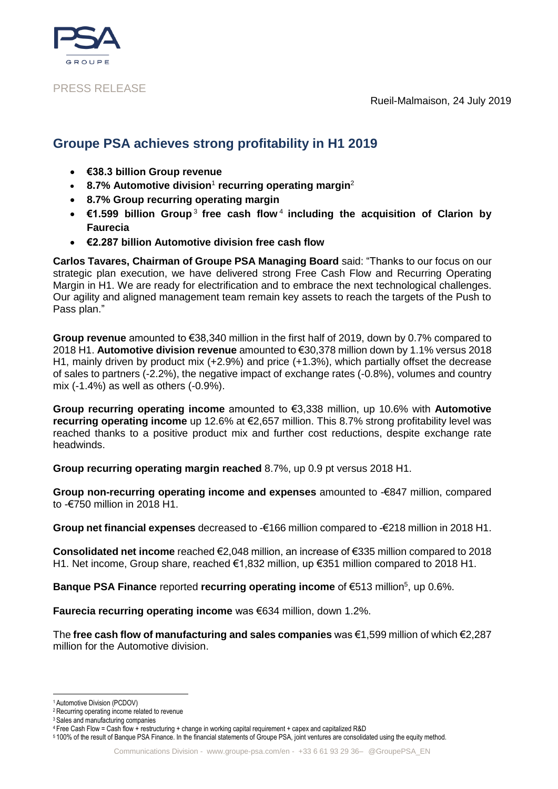



### PRESS RELEASE

# **Groupe PSA achieves strong profitability in H1 2019**

- **€38.3 billion Group revenue**
- **8.7% Automotive division<sup>1</sup> recurring operating margin<sup>2</sup></u>**
- **8.7% Group recurring operating margin**
- €1.599 billion Group<sup>3</sup> free cash flow<sup>4</sup> including the acquisition of Clarion by **Faurecia**
- **€2.287 billion Automotive division free cash flow**

**Carlos Tavares, Chairman of Groupe PSA Managing Board** said: "Thanks to our focus on our strategic plan execution, we have delivered strong Free Cash Flow and Recurring Operating Margin in H1. We are ready for electrification and to embrace the next technological challenges. Our agility and aligned management team remain key assets to reach the targets of the Push to Pass plan."

**Group revenue** amounted to €38,340 million in the first half of 2019, down by 0.7% compared to 2018 H1. **Automotive division revenue** amounted to €30,378 million down by 1.1% versus 2018 H1, mainly driven by product mix (+2.9%) and price (+1.3%), which partially offset the decrease of sales to partners (-2.2%), the negative impact of exchange rates (-0.8%), volumes and country mix (-1.4%) as well as others (-0.9%).

**Group recurring operating income** amounted to €3,338 million, up 10.6% with **Automotive recurring operating income** up 12.6% at €2,657 million. This 8.7% strong profitability level was reached thanks to a positive product mix and further cost reductions, despite exchange rate headwinds.

**Group recurring operating margin reached** 8.7%, up 0.9 pt versus 2018 H1.

**Group non-recurring operating income and expenses** amounted to -€847 million, compared to -€750 million in 2018 H1.

**Group net financial expenses** decreased to -€166 million compared to -€218 million in 2018 H1.

**Consolidated net income** reached €2,048 million, an increase of €335 million compared to 2018 H1. Net income, Group share, reached €1,832 million, up €351 million compared to 2018 H1.

Banque PSA Finance reported recurring operating income of €513 million<sup>5</sup>, up 0.6%.

**Faurecia recurring operating income** was €634 million, down 1.2%.

The **free cash flow of manufacturing and sales companies** was €1,599 million of which €2,287 million for the Automotive division.

<sup>5</sup> 100% of the result of Banque PSA Finance. In the financial statements of Groupe PSA, joint ventures are consolidated using the equity method.

<sup>.&</sup>lt;br>-<sup>1</sup> Automotive Division (PCDOV)

<sup>2</sup>Recurring operating income related to revenue

<sup>&</sup>lt;sup>3</sup> Sales and manufacturing companies

<sup>4</sup> Free Cash Flow = Cash flow + restructuring + change in working capital requirement + capex and capitalized R&D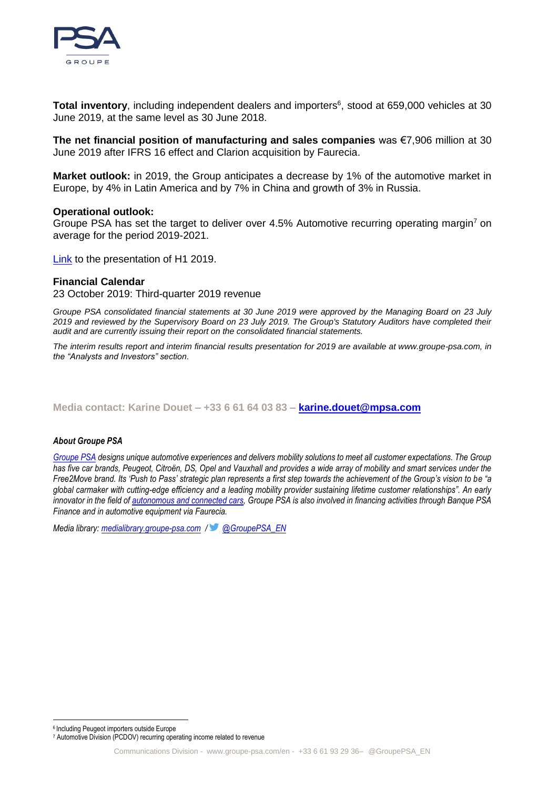

Total inventory, including independent dealers and importers<sup>6</sup>, stood at 659,000 vehicles at 30 June 2019, at the same level as 30 June 2018.

**The net financial position of manufacturing and sales companies** was €7,906 million at 30 June 2019 after IFRS 16 effect and Clarion acquisition by Faurecia.

**Market outlook:** in 2019, the Group anticipates a decrease by 1% of the automotive market in Europe, by 4% in Latin America and by 7% in China and growth of 3% in Russia.

### **Operational outlook:**

Groupe PSA has set the target to deliver over 4.5% Automotive recurring operating margin<sup>7</sup> on average for the period 2019-2021.

[Link](https://www.groupe-psa.com/en/finance/publications/) to the presentation of H1 2019.

### **Financial Calendar**

23 October 2019: Third-quarter 2019 revenue

*Groupe PSA consolidated financial statements at 30 June 2019 were approved by the Managing Board on 23 July 2019 and reviewed by the Supervisory Board on 23 July 2019. The Group's Statutory Auditors have completed their audit and are currently issuing their report on the consolidated financial statements.*

*The interim results report and interim financial results presentation for 2019 are available at www.groupe-psa.com, in the "Analysts and Investors" section.*

**Media contact: Karine Douet – +33 6 61 64 03 83 – [karine.douet@mpsa.com](mailto:karine.douet@mpsa.com)**

#### *About Groupe PSA*

*[Groupe PSA](https://www.groupe-psa.com/fr) designs unique automotive experiences and delivers mobility solutions to meet all customer expectations. The Group has five car brands, Peugeot, Citroën, DS, Opel and Vauxhall and provides a wide array of mobility and smart services under the Free2Move brand. Its 'Push to Pass' strategic plan represents a first step towards the achievement of the Group's vision to be "a global carmaker with cutting-edge efficiency and a leading mobility provider sustaining lifetime customer relationships". An early innovator in the field of [autonomous and connected cars,](https://www.groupe-psa.com/en/story/en-route-vers-la-voiture-autonome/) Groupe PSA is also involved in financing activities through Banque PSA Finance and in automotive equipment via Faurecia.*

*Media library: [medialibrary.groupe-psa.com](http://medialibrary.groupe-psa.com/) / [@GroupePSA\\_EN](https://twitter.com/GroupePSA_EN)*

-

<sup>6</sup> Including Peugeot importers outside Europe

<sup>7</sup> Automotive Division (PCDOV) recurring operating income related to revenue